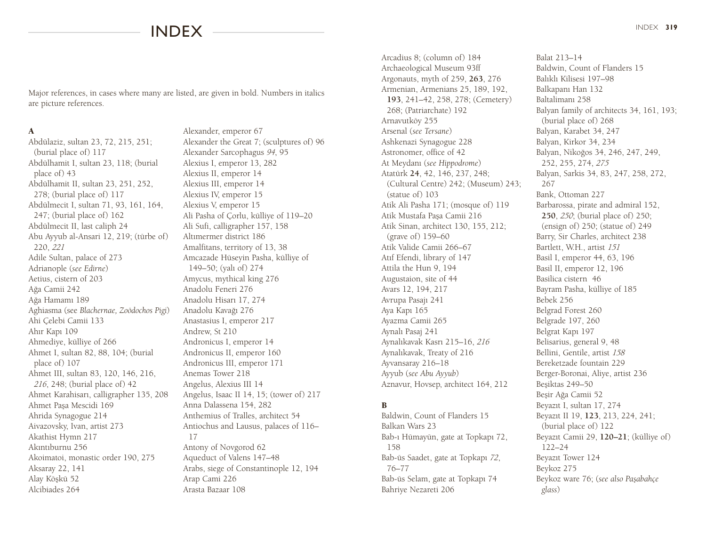# index

Major references, in cases where many are listed, are given in bold. Numbers in italics are picture references.

#### A

Abdülaziz, sultan 23, 72, 215, 251; (burial place of) 117 Abdülhamit I, sultan 23, 118; (burial place of) 43 Abdülhamit II, sultan 23, 251, 252, 278; (burial place of) 117 Abdülmecit I, sultan 71, 93, 161, 164, 247; (burial place of) 162 Abdülmecit II, last caliph 24 Abu Ayyub al-Ansari 12, 219; (türbe of) 220, *<sup>221</sup>* Adile Sultan, palace of 273 Adrianople (*see Edirne*) Aetius, cistern of 203 Ağa Camii 242 Ağa Hamamı 189 Aghiasma (see *Blachernae, Zoödochos Pigi*) Ahi Çelebi Camii 133 Ahır Kapı 109 Ahmediye, külliye of 266 Ahmet I, sultan 82, 88, 104; (burial place of) 107 Ahmet III, sultan 83, 120, 146, 216, *<sup>216</sup>*, 248; (burial place of) 42 Ahmet Karahisarı, calligrapher 135, 208 Ahmet Paşa Mescidi 169 Ahrida Synagogue 214 Aivazovsky, Ivan, artist 273 Akathist Hymn 217 Akıntıburnu 256 Akoimatoi, monastic order 190, 275 Aksaray 22, 141 Alay Köşkü 52 Alcibiades 264

Alexander, emperor 67 Alexander the Great 7; (sculptures of) 96 Alexander Sarcophagus *94*, 95 Alexius I, emperor 13, 282 Alexius II, emperor 14 Alexius III, emperor 14 Alexius IV, emperor 15 Alexius V, emperor 15 Ali Pasha of Çorlu, külliye of 119–20 Ali Sufi, calligrapher 157, 158 Altımermer district 186 Amalfitans, territory of 13, 38 Amcazade Hüseyin Pasha, külliye of 149–50; (yalı of) 274 Amycus, mythical king 276 Anadolu Feneri 276 Anadolu Hisarı 17, 274 Anadolu Kavağı 276 Anastasius I, emperor 217 Andrew, St 210 Andronicus I, emperor 14 Andronicus II, emperor 160 Andronicus III, emperor 171 Anemas Tower 218 Angelus, Alexius III 14 Angelus, Isaac II 14, 15; (tower of) 217 Anna Dalassena 154, 282 Anthemius of Tralles, architect 54 Antiochus and Lausus, palaces of 116– 17 Antony of Novgorod 62 Aqueduct of Valens 147–48 Arabs, siege of Constantinople 12, 194 Arap Cami 226 Arasta Bazaar 108

Arcadius 8; (column of) 184 Archaeological Museum 93ff Argonauts, myth of 259, **263**, 276 Armenian, Armenians 25, 189, 192, **193**, 241–42, 258, 278; (Cemetery) 268; (Patriarchate) 192 Arnavutköy 255 Arsenal (*see Tersane*) Ashkenazi Synagogue 228 Astronomer, office of 42 At Meydanı (*see Hippodrome*) Atatürk **24**, 42, 146, 237, 248; (Cultural Centre) 242; (Museum) 243; (statue of) 103 Atik Ali Pasha 171; (mosque of) 119 Atik Mustafa Paşa Camii 216 Atik Sinan, architect 130, 155, 212; (grave of) 159–60 Atik Valide Camii 266–67 Atıf Efendi, library of 147 Attila the Hun 9, 194 Augustaion, site of 44 Avars 12, 194, 217 Avrupa Pasajı 241 Aya Kapı 165 Ayazma Camii 265 Aynalı Pasaj 241 Aynalıkavak Kasrı 215–16, *<sup>216</sup>* Aynalıkavak, Treaty of 216 Ayvansaray 216–18 Ayyub (*see Abu Ayyub*) Aznavur, Hovsep, architect 164, 212

## B

Baldwin, Count of Flanders 15 Balkan Wars 23 Bab-ı Hümayün, gate at Topkapı 72, 158 Bab-üs Saadet, gate at Topkapı *72*, 76–77 Bab-üs Selam, gate at Topkapı 74 Bahriye Nezareti 206

Balat 213–14 Baldwin, Count of Flanders 15 Balıklı Kilisesi 197–98 Balkapanı Han 132 Baltalimanı 258 Balyan family of architects 34, 161, 193; (burial place of) 268 Balyan, Karabet 34, 247 Balyan, Kirkor 34, 234 Balyan, Nikoğos 34, 246, 247, 249, 252, 255, 274, *<sup>275</sup>* Balyan, Sarkis 34, 83, 247, 258, 272, 267 Bank, Ottoman 227 Barbarossa, pirate and admiral 152, **250**, *250*; (burial place of) 250; (ensign of) 250; (statue of) 249 Barry, Sir Charles, architect 238 Bartlett, W.H., artist *<sup>151</sup>* Basil I, emperor 44, 63, 196 Basil II, emperor 12, 196 Basilica cistern 46 Bayram Pasha, külliye of 185 Bebek 256 Belgrad Forest 260 Belgrade 197, 260 Belgrat Kapı 197 Belisarius, general 9, 48 Bellini, Gentile, artist *<sup>158</sup>* Bereketzade fountain 229 Berger-Boronai, Aliye, artist 236 Beşiktas 249–50 Beşir Ağa Camii 52 Beyazıt I, sultan 17, 274 Beyazıt II 19, **123**, 213, 224, 241; (burial place of) 122 Beyazıt Camii 29, **120–21**; (külliye of) 122–24 Beyazıt Tower 124 Beykoz 275 Beykoz ware 76; (*see also Paşabahçe glass*)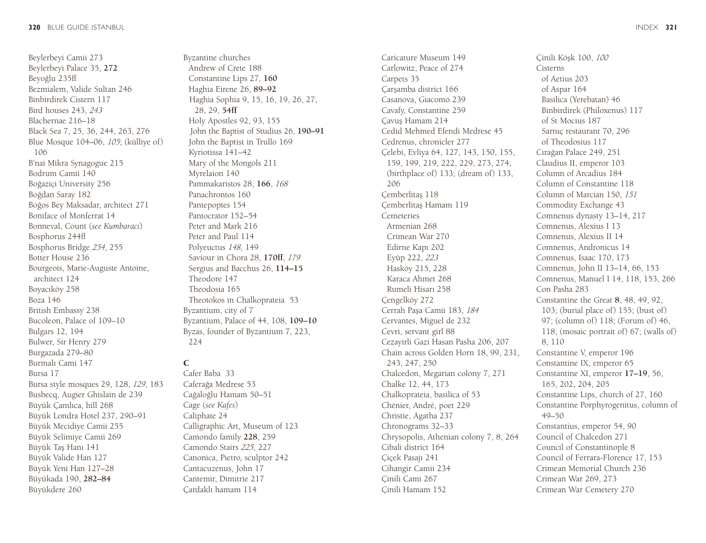Beylerbeyi Camii 273 Beylerbeyi Palace 35, **272** Beyoğlu 235ff Bezmialem, Valide Sultan 246 Binbirdirek Cistern 117 Bird houses 243, *<sup>243</sup>* Blachernae 216–18 Black Sea 7, 25, 36, 244, 263, 276 Blue Mosque 104–06, *105*; (külliye of) 106 B'nai Mikra Synagogue 215 Bodrum Camii 140 Boğaziçi University 256 Boğdan Saray 182 Boğos Bey Maksadar, architect 271 Boniface of Monferrat 14 Bonneval, Count (*see Kumbaracı*) Bosphorus 244ff Bosphorus Bridge *254*, 255 Botter House 236 Bourgeois, Marie-Auguste Antoine, architect 124 Boyacıköy 258 Boza 146 British Embassy 238 Bucoleon, Palace of 109–10 Bulgars 12, 194 Bulwer, Sir Henry 279 Burgazada 279–80 Burmalı Cami 147 Bursa 17 Bursa style mosques 29, 128, *129*, 183 Busbecq, Augier Ghislain de 239 Büyük Çamlıca, hill 268 Büyük Londra Hotel 237, 290–91 Büyük Mecidiye Camii 255 Büyük Selimiye Camii 269 Büyük Taş Hanı 141 Büyük Valide Han 127 Büyük Yeni Han 127–28 Büyükada 190, **282–84**

Büyükdere 260

Byzantine churches Andrew of Crete 188 Constantine Lips 27, **160** Haghia Eirene 26, **89–92** Haghia Sophia 9, 15, 16, 19, 26, 27, 28, 29, **54ff** Holy Apostles 92, 93, 155 John the Baptist of Studius 26, **190–91** John the Baptist in Trullo 169 Kyriotissa 141–42 Mary of the Mongols 211 Myrelaion 140 Pammakaristos 28, **166**, *<sup>168</sup>* Panachrontos 160 Pantepoptes 154 Pantocrator 152–54 Peter and Mark 216 Peter and Paul 114 Polyeuctus *148*, 149 Saviour in Chora 28, **170ff**, *<sup>179</sup>* Sergius and Bacchus 26, **114–15** Theodore 147 Theodosia 165 Theotokos in Chalkoprateia 53 Byzantium, city of 7 Byzantium, Palace of 44, 108, **109–10** Byzas, founder of Byzantium 7, 223, 224

## $\mathsf{C}$

Cafer Baba 33 Caferağa Medrese 53 Cağaloğlu Hamam 50–51 Cage (*see Kafes*) Caliphate 24 Calligraphic Art, Museum of 123 Camondo family **228**, 259 Camondo Stairs *225*, 227 Canonica, Pietro, sculptor 242 Cantacuzenus, John 17 Cantemir, Dimitrie 217 Çardaklı hamam 114

Caricature Museum 149 Carlowitz, Peace of 274 Carpets 35 Çarşamba district 166 Casanova, Giacomo 239 Cavafy, Constantine 259 Çavuş Hamam 214 Cedid Mehmed Efendi Medrese 45 Cedrenus, chronicler 277 Çelebi, Evliya 64, 127, 143, 150, 155, 159, 199, 219, 222, 229, 273, 274; (birthplace of) 133; (dream of) 133, 206 Çemberlitaş 118 Çemberlitaş Hamam 119 Cemeteries Armenian 268 Crimean War 270 Edirne Kapı 202 Eyüp 222, *<sup>223</sup>* Hasköy 215, 228 Karaca Ahmet 268 Rumeli Hisarı 258 Cengelköy 272 Cerrah Paşa Camii 183, *<sup>184</sup>* Cervantes, Miguel de 232 Cevri, servant girl 88 Cezayirli Gazi Hasan Pasha 206, 207 Chain across Golden Horn 18, 99, 231, 243, 247, 250 Chalcedon, Megarian colony 7, 271 Chalke 12, 44, 173 Chalkoprateia, basilica of 53 Chénier, André, poet 229 Christie, Agatha 237 Chronograms 32–33 Chrysopolis, Athenian colony 7, 8, 264 Cibali district 164 Çiçek Pasajı 241 Cihangir Camii 234 Çinili Cami 267 Çinili Hamam 152

Çinili Köşk 100, *<sup>100</sup>* of Aetius 203 of Aspar 164 Basilica (Yerebatan) 46 Binbirdirek (Philoxenus) 117 of St Mocius 187 Sarnıç restaurant 70, 296 of Theodosius 117 Cırağan Palace 249, 251 Claudius II, emperor 103 Column of Arcadius 184 Column of Constantine 118 Column of Marcian 150, *<sup>151</sup>* Commodity Exchange 43 Comnenus dynasty 13–14, 217 Comnenus, Alexius I 13 Comnenus, Alexius II 14 Comnenus, Andronicus 14 Comnenus, Isaac 170, 173 Comnenus, John II 13–14, 66, 153 Comnenus, Manuel I 14, 118, 153, 266 Con Pasha 283 Constantine the Great **8**, 48, 49, 92, 103; (burial place of) 155; (bust of) 97; (column of) 118; (Forum of) 46, 118; (mosaic portrait of) 67; (walls of) Constantine V, emperor 196 Constantine IX, emperor 65 Constantine XI, emperor **17–19**, 56,

Cisterns

8, 110

49–50

165, 202, 204, 205

Constantius, emperor 54, 90 Council of Chalcedon 271 Council of Constantinople 8 Council of Ferrara-Florence 17, 153 Crimean Memorial Church 236 Crimean War 269, 273 Crimean War Cemetery 270

Constantine Lips, church of 27, 160 Constantine Porphyrogenitus, column of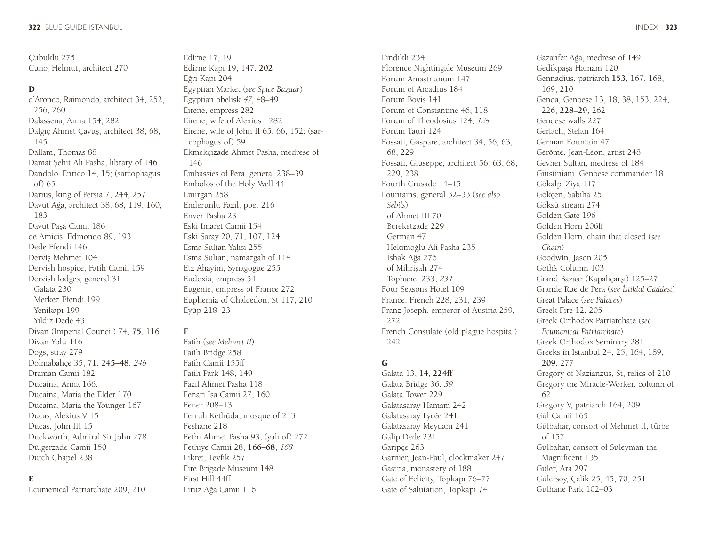Çubuklu 275 Cuno, Helmut, architect 270

#### D

d'Aronco, Raimondo, architect 34, 252, 256, 260 Dalassena, Anna 154, 282 Dalgıç Ahmet Çavuş, architect 38, 68, 145 Dallam, Thomas 88 Damat Șehit Ali Pasha, library of 146 Dandolo, Enrico 14, 15; (sarcophagus of) 65 Darius, king of Persia 7, 244, 257 Davut Ağa, architect 38, 68, 119, 160, 183 Davut Paşa Camii 186 de Amicis, Edmondo 89, 193 Dede Efendi 146 Derviş Mehmet 104 Dervish hospice, Fatih Camii 159 Dervish lodges, general 31 Galata 230 Merkez Efendi 199 Yenikapı 199 Yıldız Dede 43 Divan (Imperial Council) 74, **75**, 116 Divan Yolu 116 Dogs, stray 279 Dolmabahçe 35, 71, **245–48**, *<sup>246</sup>* Draman Camii 182 Ducaina, Anna 166, Ducaina, Maria the Elder 170 Ducaina, Maria the Younger 167 Ducas, Alexius V 15 Ducas, John III 15 Duckworth, Admiral Sir John 278 Dülgerzade Camii 150 Dutch Chapel 238

#### E

Ecumenical Patriarchate 209, 210

Edirne 17, 19 Edirne Kapı 19, 147, **202** Eğri Kapı 204 Egyptian Market (*see Spice Bazaar*) Egyptian obelisk *47*, 48–49 Eirene, empress 282 Eirene, wife of Alexius I 282 Eirene, wife of John II 65, 66, 152; (sarcophagus of) 59 Ekmekçizade Ahmet Pasha, medrese of 146 Embassies of Pera, general 238–39 Embolos of the Holy Well 44 Emirgan 258 Enderunlu Fazıl, poet 216 Enver Pasha 23 Eski Imaret Camii 154 Eski Saray 20, 71, 107, 124 Esma Sultan Yalısı 255 Esma Sultan, namazgah of 114 Etz Ahayim, Synagogue 255 Eudoxia, empress 54 Eugénie, empress of France 272 Euphemia of Chalcedon, St 117, 210 Eyüp 218–23

#### F

Fatih (*see Mehmet II*) Fatih Bridge 258 Fatih Camii 155ff Fatih Park 148, 149 Fazıl Ahmet Pasha 118 Fenari İsa Camii 27, 160 Fener 208–13 Ferruh Kethüda, mosque of 213 Feshane 218 Fethi Ahmet Pasha 93; (yalı of) 272 Fethiye Camii 28, **166–68**, *<sup>168</sup>* Fikret, Tevfik 257 Fire Brigade Museum 148 First Hill 44ff Firuz Ağa Camii 116

Fındıklı 234 Florence Nightingale Museum 269 Forum Amastrianum 147 Forum of Arcadius 184 Forum Bovis 141 Forum of Constantine 46, 118 Forum of Theodosius 124, *<sup>124</sup>* Forum Tauri 124 Fossati, Gaspare, architect 34, 56, 63, 68, 229 Fossati, Giuseppe, architect 56, 63, 68, 229, 238 Fourth Crusade 14–15 Fountains, general 32–33 (*see also Sebils*) of Ahmet III 70 Bereketzade 229 German 47 Hekimoğlu Ali Pasha 235 İshak Ağa 276 of Mihrişah 274 Tophane 233, *<sup>234</sup>* Four Seasons Hotel 109 France, French 228, 231, 239 Franz Joseph, emperor of Austria 259, 272 French Consulate (old plague hospital) 242

## G

Galata 13, 14, **224ff** Galata Bridge 36, *<sup>39</sup>* Galata Tower 229 Galatasaray Hamam 242 Galatasaray Lycée 241 Galatasaray Meydanı 241 Galip Dede 231 Garipçe 263 Garnier, Jean-Paul, clockmaker 247 Gastria, monastery of 188 Gate of Felicity, Topkapı 76–77 Gate of Salutation, Topkapı 74

Gazanfer Ağa, medrese of 149 Gedikpaşa Hamam 120 Gennadius, patriarch **153**, 167, 168, 169, 210 Genoa, Genoese 13, 18, 38, 153, 224, 226, **228–29**, 262 Genoese walls 227 Gerlach, Stefan 164 German Fountain 47 Gérôme, Jean-Léon, artist 248 Gevher Sultan, medrese of 184 Giustiniani, Genoese commander 18 Gökalp, Ziya 117 Gökçen, Sabiha 25 Göksü stream 274 Golden Gate 196 Golden Horn 206ff Golden Horn, chain that closed (*see Chain*) Goodwin, Jason 205 Goth's Column 103 Grand Bazaar (Kapalıçarşı) 125–27 Grande Rue de Péra (*see İstiklal Caddesi*) Great Palace (*see Palaces*) Greek Fire 12, 205 Greek Orthodox Patriarchate (*see Ecumenical Patriarchate*) Greek Orthodox Seminary 281 Greeks in Istanbul 24, 25, 164, 189, **209**, 277 Gregory of Nazianzus, St, relics of 210 Gregory the Miracle-Worker, column of 62 Gregory V, patriarch 164, 209 Gül Camii 165 Gülbahar, consort of Mehmet II, türbe of 157 Gülbahar, consort of Süleyman the Magnificent 135 Güler, Ara 297 Gülersoy, Çelik 25, 45, 70, 251 Gülhane Park 102–03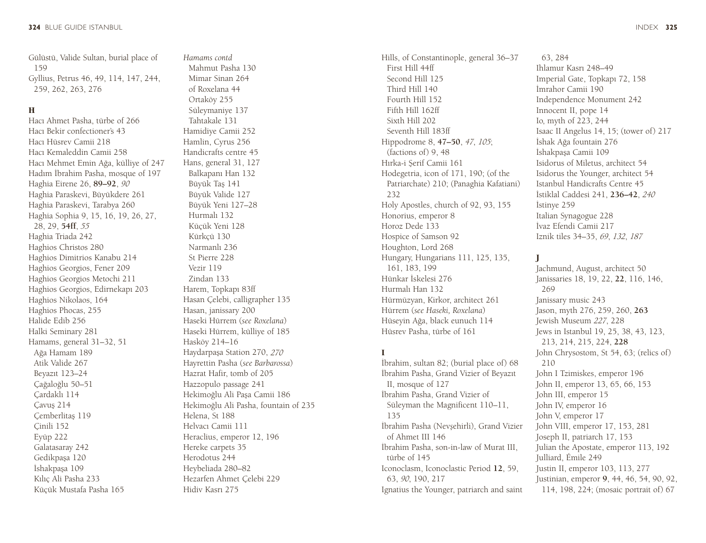Gülüstü, Valide Sultan, burial place of 159 Gyllius, Petrus 46, 49, 114, 147, 244, 259, 262, 263, 276

#### H

Hacı Ahmet Pasha, türbe of 266 Hacı Bekir confectioner's 43 Hacı Hüsrev Camii 218 Hacı Kemaleddin Camii 258 Hacı Mehmet Emin Ağa, külliye of 247 Hadım İbrahim Pasha, mosque of 197 Haghia Eirene 26, **89–92**, *<sup>90</sup>* Haghia Paraskevi, Büyükdere 261 Haghia Paraskevi, Tarabya 260 Haghia Sophia 9, 15, 16, 19, 26, 27, 28, 29, **54ff**, *<sup>55</sup>* Haghia Triada 242 Haghios Christos 280 Haghios Dimitrios Kanabu 214 Haghios Georgios, Fener 209 Haghios Georgios Metochi 211 Haghios Georgios, Edirnekapı 203 Haghios Nikolaos, 164 Haghios Phocas, 255 Halide Edib 256 Halki Seminary 281 Hamams, general 31–32, 51 Ağa Hamam 189 Atik Valide 267 Beyazıt 123–24 Çağaloğlu 50–51 Çardaklı 114 Çavuş 214 Çemberlitaş 119 Çinili 152 Eyüp 222 Galatasaray 242 Gedikpaşa 120 İshakpaşa 109 Kılıç Ali Pasha 233 Küçük Mustafa Pasha 165

*Hamams contd* Mahmut Pasha 130 Mimar Sinan 264 of Roxelana 44 Ortaköy 255 Süleymaniye 137 Tahtakale 131 Hamidiye Camii 252 Hamlin, Cyrus 256 Handicrafts centre 45 Hans, general 31, 127 Balkapanı Han 132 Büyük Taş 141 Büyük Valide 127 Büyük Yeni 127–28 Hurmalı 132 Küçük Yeni 128 Kürkçü 130 Narmanlı 236 St Pierre 228 Vezir 119 Zindan 133 Harem, Topkapı 83ff Hasan Çelebi, calligrapher 135 Hasan, janissary 200 Haseki Hürrem (*see Roxelana*) Haseki Hürrem, külliye of 185 Hasköy 214–16 Haydarpaşa Station 270, *<sup>270</sup>* Hayrettin Pasha (*see Barbarossa*) Hazrat Hafir, tomb of 205 Hazzopulo passage 241 Hekimoğlu Ali Paşa Camii 186 Hekimoğlu Ali Pasha, fountain of 235 Helena, St 188 Helvacı Camii 111 Heraclius, emperor 12, 196 Hereke carpets 35 Herodotus 244 Heybeliada 280–82 Hezarfen Ahmet Çelebi 229 Hidiv Kasrı 275

Hills, of Constantinople, general 36–37 First Hill 44ff Second Hill 125 Third Hill 140 Fourth Hill 152 Fifth Hill 162ff Sixth Hill 202 Seventh Hill 183ff Hippodrome 8, **47–50**, *47*, *105*; (factions of) 9, 48 Hırka-i Şerif Camii 161 Hodegetria, icon of 171, 190; (of the Patriarchate) 210; (Panaghia Kafatiani) 232 Holy Apostles, church of 92, 93, 155 Honorius, emperor 8 Horoz Dede 133 Hospice of Samson 92 Houghton, Lord 268 Hungary, Hungarians 111, 125, 135, 161, 183, 199 Hünkar İskelesi 276 Hurmalı Han 132 Hürmüzyan, Kirkor, architect 261 Hürrem (*see Haseki, Roxelana*) Hüseyin Ağa, black eunuch 114 Hüsrev Pasha, türbe of 161

#### I

İbrahim, sultan 82; (burial place of) 68 İbrahim Pasha, Grand Vizier of Beyazıt II, mosque of 127 İbrahim Pasha, Grand Vizier of Süleyman the Magnificent 110–11, 135 İbrahim Pasha (Nev*ş*ehirli), Grand Vizier of Ahmet III 146 İbrahim Pasha, son-in-law of Murat III, türbe of 145 Iconoclasm, Iconoclastic Period **12**, 59, 63, *90*, 190, 217 Ignatius the Younger, patriarch and saint

63, 284 Ihlamur Kasrı 248–49 Imperial Gate, Topkapı 72, 158 İmrahor Camii 190 Independence Monument 242 Innocent II, pope 14 Io, myth of 223, 244 Isaac II Angelus 14, 15; (tower of) 217 İshak Ağa fountain 276 İshakpaşa Camii 109 Isidorus of Miletus, architect 54 Isidorus the Younger, architect 54 Istanbul Handicrafts Centre 45 İstiklal Caddesi 241, **236–42**, *<sup>240</sup>* İstinye 259 Italian Synagogue 228 İvaz Efendi Camii 217 Iznik tiles 34–35, *69*, *132*, *<sup>187</sup>*

#### J

Jachmund, August, architect 50 Janissaries 18, 19, 22, **22**, 116, 146, 269 Janissary music 243 Jason, myth 276, 259, 260, **263** Jewish Museum *227*, 228 Jews in Istanbul 19, 25, 38, 43, 123, 213, 214, 215, 224, **228** John Chrysostom, St 54, 63; (relics of) 210 John I Tzimiskes, emperor 196 John II, emperor 13, 65, 66, 153 John III, emperor 15 John IV, emperor 16 John V, emperor 17 John VIII, emperor 17, 153, 281 Joseph II, patriarch 17, 153 Julian the Apostate, emperor 113, 192 Julliard, Émile 249 Justin II, emperor 103, 113, 277 Justinian, emperor **9**, 44, 46, 54, 90, 92, 114, 198, 224; (mosaic portrait of) 67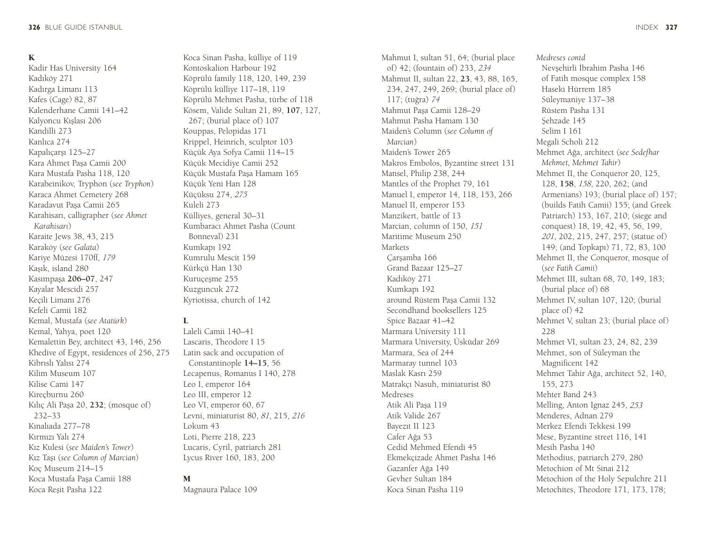## K

Kadir Has University 164 Kadıköy 271 Kadırga Limanı 113 Kafes (Cage) 82, 87 Kalenderhane Camii 141–42 Kalyoncu Kışlası 206 Kandilli 273 Kanlıca 274 Kapalıçarşı 125–27 Kara Ahmet Paşa Camii 200 Kara Mustafa Pasha 118, 120 Karabeinikov, Tryphon (*see Tryphon*) Karaca Ahmet Cemetery 268 Karadavut Paşa Camii 265 Karahisarı, calligrapher (*see Ahmet Karahisarı*) Karaite Jews 38, 43, 215 Karaköy (*see Galata*) Kariye Müzesi 170ff, *<sup>179</sup>* Kaşık, island 280 Kasımpaşa **206–07**, 247 Kayalar Mescidi 257 Keçili Limanı 276 Kefeli Camii 182 Kemal, Mustafa (*see Atatürk*) Kemal, Yahya, poet 120 Kemalettin Bey, architect 43, 146, 256 Khedive of Egypt, residences of 256, 275 Kibrıslı Yalısı 274 Kilim Museum 107 Kilise Cami 147 Kireçburnu 260 Kılıç Ali Paşa 20, **232**; (mosque of) 232–33 Kınalıada 277–78 Kırmızı Yalı 274 Kız Kulesi (*see Maiden's Tower*) Kız Taşı (*see Column of Marcian*) Koç Museum 214–15 Koca Mustafa Paşa Camii 188 Koca Reşit Pasha 122

Koca Sinan Pasha, külliye of 119 Kontoskalion Harbour 192 Köprülü family 118, 120, 149, 239 Köprülü külliye 117–18, 119 Köprülü Mehmet Pasha, türbe of 118 Kösem, Valide Sultan 21, 89, **107**, 127, 267; (burial place of) 107 Kouppas, Pelopidas 171 Krippel, Heinrich, sculptor 103 Küçük Aya Sofya Camii 114–15 Küçük Mecidiye Camii 252 Küçük Mustafa Paşa Hamam 165 Küçük Yeni Han 128 Küçüksu 274, *<sup>275</sup>* Kuleli 273 Külliyes, general 30–31 Kumbaracı Ahmet Pasha (Count Bonneval) 231 Kumkapı 192 Kumrulu Mescit 159 Kürkçü Han 130 Kuruçeşme 255 Kuzguncuk 272 Kyriotissa, church of 142

#### L

Laleli Camii 140–41 Lascaris, Theodore I 15 Latin sack and occupation of Constantinople **14–15**, 56 Lecapenus, Romanus I 140, 278 Leo I, emperor 164 Leo III, emperor 12 Leo VI, emperor 60, 67 Levni, miniaturist 80, *81*, 215, *<sup>216</sup>* Lokum 43 Loti, Pierre 218, 223 Lucaris, Cyril, patriarch 281 Lycus River 160, 183, 200

#### M

Magnaura Palace 109

Mahmut I, sultan 51, 64; (burial place of) 42; (fountain of) 233, *<sup>234</sup>* Mahmut II, sultan 22, **23**, 43, 88, 165, 234, 247, 249, 269; (burial place of) 117; (tuğra) *<sup>74</sup>* Mahmut Paşa Camii 128–29 Mahmut Pasha Hamam 130 Maiden's Column (*see Column of Marcian*) Maiden's Tower 265 Makros Embolos, Byzantine street 131 Mansel, Philip 238, 244 Mantles of the Prophet 79, 161 Manuel I, emperor 14, 118, 153, 266 Manuel II, emperor 153 Manzikert, battle of 13 Marcian, column of 150, *<sup>151</sup>* Maritime Museum 250 Markets Çarşamba 166 Grand Bazaar 125–27 Kadıköy 271 Kumkapı 192 around Rüstem Paşa Camii 132 Secondhand booksellers 125 Spice Bazaar 41–42 Marmara University 111 Marmara University, Üsküdar 269 Marmara, Sea of 244 Marmaray tunnel 103 Maslak Kasrı 259 Matrakçı Nasuh, miniaturist 80 Medreses Atik Ali Paşa 119 Atik Valide 267 Bayezıt II 123 Cafer Ağa 53 Cedid Mehmed Efendi 45 Ekmekçizade Ahmet Pasha 146 Gazanfer Ağa 149 Gevher Sultan 184 Koca Sinan Pasha 119

*Medreses contd* Nevşehirli İbrahim Pasha 146 of Fatih mosque complex 158 Haseki Hürrem 185 Süleymaniye 137–38 Rüstem Pasha 131 Şehzade 145 Selim I 161 Megali Scholi 212 Mehmet Ağa, architect (*see Sedefhar Mehmet, Mehmet Tahir*) Mehmet II, the Conqueror 20, 125, 128, **158**, *158*, 220, 262; (and Armenians) 193; (burial place of) 157; (builds Fatih Camii) 155; (and Greek Patriarch) 153, 167, 210; (siege and conquest) 18, 19, 42, 45, 56, 199, *<sup>201</sup>*, 202, 215, 247, 257; (statue of) 149; (and Topkapı) 71, 72, 83, 100 Mehmet II, the Conqueror, mosque of (*see Fatih Camii*) Mehmet III, sultan 68, 70, 149, 183; (burial place of) 68 Mehmet IV, sultan 107, 120; (burial place of) 42 Mehmet V, sultan 23; (burial place of) 228 Mehmet VI, sultan 23, 24, 82, 239 Mehmet, son of Süleyman the Magnificent 142 Mehmet Tahir Ağa, architect 52, 140, 155, 273 Mehter Band 243 Melling, Anton Ignaz 245, *<sup>253</sup>* Menderes, Adnan 279 Merkez Efendi Tekkesi 199 Mese, Byzantine street 116, 141 Mesih Pasha 140 Methodius, patriarch 279, 280 Metochion of Mt Sinai 212 Metochion of the Holy Sepulchre 211 Metochites, Theodore 171, 173, 178;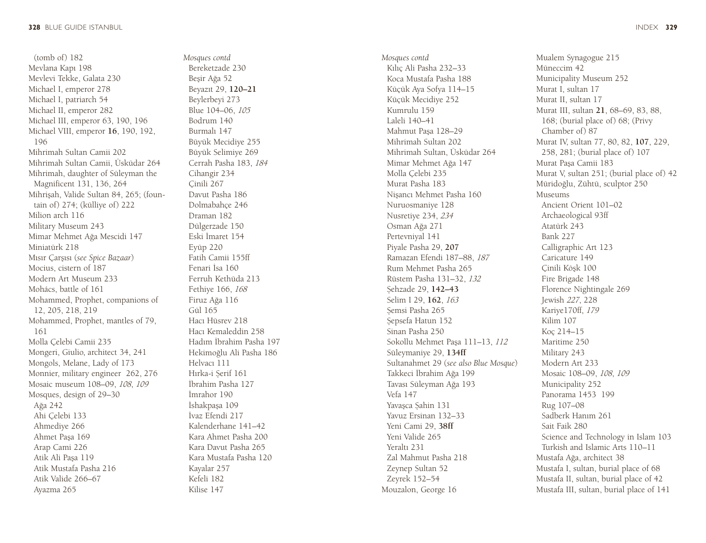(tomb of) 182 Mevlana Kapı 198 Mevlevi Tekke, Galata 230 Michael I, emperor 278 Michael I, patriarch 54 Michael II, emperor 282 Michael III, emperor 63, 190, 196 Michael VIII, emperor **16**, 190, 192, 196 Mihrimah Sultan Camii 202 Mihrimah Sultan Camii, Üsküdar 264 Mihrimah, daughter of Süleyman the Magnificent 131, 136, 264 Mihrişah, Valide Sultan 84, 265; (foun tain of) 274; (külliye of) 222 Milion arch 116 Military Museum 243 Mimar Mehmet Ağa Mescidi 147 Miniatürk 218 Mısır Çarşısı (*see Spice Bazaar* ) Mocius, cistern of 187 Modern Art Museum 233 Mohács, battle of 161 Mohammed, Prophet, companions of 12, 205, 218, 219 Mohammed, Prophet, mantles of 79, 161 Molla Çelebi Camii 235 Mongeri, Giulio, architect 34, 241 Mongols, Melane, Lady of 173 Monnier, military engineer 262, 276 Mosaic museum 108–09, *108*, *<sup>109</sup>* Mosques, design of 29–30 Ağa 242 Ahi Çelebi 133 Ahmediye 266 Ahmet Paşa 169 Arap Cami 226 Atik Ali Paşa 119 Atik Mustafa Pasha 216 Atik Valide 266–67 Ayazma 265

*Mosques contd* Bereketzade 230 Beşir Ağa 52 Beyazıt 29, **120–21** Beylerbeyi 273 Blue 104–06, *<sup>105</sup>* Bodrum 140 Burmalı 147 Büyük Mecidiye 255 Büyük Selimiye 269 Cerrah Pasha 183, *<sup>184</sup>* Cihangir 234 Çinili 267 Davut Pasha 186 Dolmabahçe 246 Draman 182 Dülgerzade 150 Eski İmaret 154 Eyüp 220 Fatih Camii 155ff Fenari İsa 160 Ferruh Kethüda 213 Fethiye 166, *<sup>168</sup>* Firuz Ağa 116 Gül 165 Hacı Hüsrev 218 Hacı Kemaleddin 258 Hadım İbrahim Pasha 197 Hekimoğlu Ali Pasha 186 Helvacı 111 Hırka-i Șerif 161 İbrahim Pasha 127 İmrahor 190 İshakpaşa 109 İvaz Efendi 217 Kalenderhane 141–42 Kara Ahmet Pasha 200 Kara Davut Pasha 265 Kara Mustafa Pasha 120 Kayalar 257 Kefeli 182 Kilise 147

*Mosques contd* Kılıç Ali Pasha 232–33 Koca Mustafa Pasha 188 Küçük Aya Sofya 114–15 Küçük Mecidiye 252 Kumrulu 159 Laleli 140–41 Mahmut Paşa 128–29 Mihrimah Sultan 202 Mihrimah Sultan, Üsküdar 264 Mimar Mehmet Ağa 147 Molla Çelebi 235 Murat Pasha 183 Nişancı Mehmet Pasha 160 Nuruosmaniye 128 Nusretiye 234, *<sup>234</sup>* Osman Ağa 271 Pertevniyal 141 Piyale Pasha 29, **207** Ramazan Efendi 187–88, *<sup>187</sup>* Rum Mehmet Pasha 265 Rüstem Pasha 131–32, *<sup>132</sup>* Șehzade 29, **142–43** Selim I 29, **162**, *<sup>163</sup>* Semsi Pasha 265 Sepsefa Hatun 152 Sinan Pasha 250 Sokollu Mehmet Paşa 111–13, *<sup>112</sup>* Süleymaniye 29, **134ff** Sultanahmet 29 (*see also Blue Mosque* ) Takkeci İbrahim Ağa 199 Tavası Süleyman Ağa 193 Vefa 147 Yavaşca Șahin 131 Yavuz Ersinan 132–33 Yeni Cami 29, **38ff** Yeni Valide 265 Yeraltı 231 Zal Mahmut Pasha 218 Zeynep Sultan 52 Zeyrek 152–54 Mouzalon, George 16

Mualem Synagogue 215 Müneccim 42 Municipality Museum 252 Murat I, sultan 17 Murat II, sultan 17 Murat III, sultan **21**, 68–69, 83, 88, 168; (burial place of) 68; (Privy Chamber of) 87 Murat IV, sultan 77, 80, 82, **107**, 229, 258, 281; (burial place of) 107 Murat Paşa Camii 183 Murat V, sultan 251; (burial place of) 42 Müridoğlu, Zühtü, sculptor 250 Museums Ancient Orient 101–02 Archaeological 93ff Atatürk 243 Bank 227 Calligraphic Art 123 Caricature 149 Çinili Köşk 100 Fire Brigade 148 Florence Nightingale 269 Jewish *227*, 228 Kariye170ff, *<sup>179</sup>* Kilim 107 Koç 214–15 Maritime 250 Military 243 Modern Art 233 Mosaic 108–09, *108*, *<sup>109</sup>* Municipality 252 Panorama 1453 199 Rug 107–08 Sadberk Hanım 261 Sait Faik 280 Science and Technology in Islam 103 Turkish and Islamic Arts 110–11 Mustafa Ağa, architect 38 Mustafa I, sultan, burial place of 68 Mustafa II, sultan, burial place of 42 Mustafa III, sultan, burial place of 141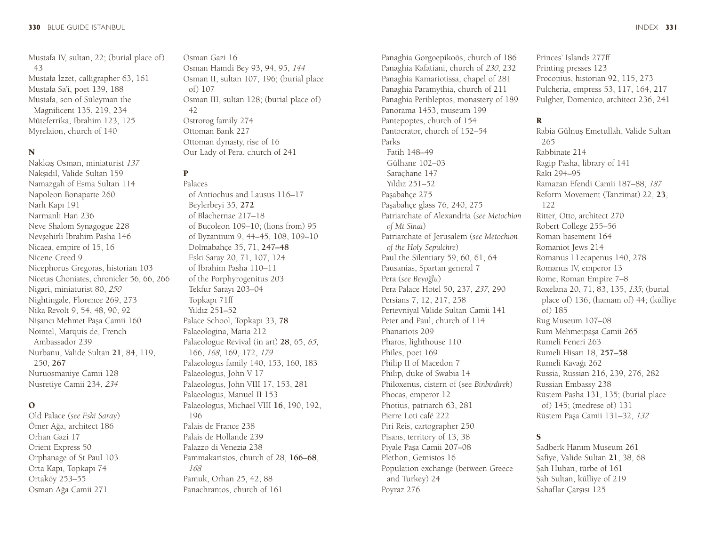Mustafa IV, sultan, 22; (burial place of) 43 Mustafa İzzet, calligrapher 63, 161 Mustafa Sa'i, poet 139, 188 Mustafa, son of Süleyman the Magnificent 135, 219, 234 Müteferrika, Ibrahim 123, 125 Myrelaion, church of 140

#### N

Nakkaş Osman, miniaturist *<sup>137</sup>* Nakşidil, Valide Sultan 159 Namazgah of Esma Sultan 114 Napoleon Bonaparte 260 Narlı Kapı 191 Narmanlı Han 236 Neve Shalom Synagogue 228 Nev*ş*ehirli İbrahim Pasha 146 Nicaea, empire of 15, 16 Nicene Creed 9 Nicephorus Gregoras, historian 103 Nicetas Choniates, chronicler 56, 66, 266 Nigari, miniaturist 80, *<sup>250</sup>* Nightingale, Florence 269, 273 Nika Revolt 9, 54, 48, 90, 92 Nişancı Mehmet Paşa Camii 160 Nointel, Marquis de, French Ambassador 239 Nurbanu, Valide Sultan **21**, 84, 119, 250, **267** Nuruosmaniye Camii 128 Nusretiye Camii 234, *<sup>234</sup>*

#### $\Omega$

Old Palace (*see Eski Saray*) Ömer Ağa, architect 186 Orhan Gazi 17 Orient Express 50 Orphanage of St Paul 103 Orta Kapı, Topkapı 74 Ortaköy 253–55 Osman Ağa Camii 271

Osman Gazi 16 Osman Hamdi Bey 93, 94, 95, *<sup>144</sup>* Osman II, sultan 107, 196; (burial place of) 107 Osman III, sultan 128; (burial place of) 42 Ostrorog family 274 Ottoman Bank 227 Ottoman dynasty, rise of 16 Our Lady of Pera, church of 241

## P

Palaces of Antiochus and Lausus 116–17 Beylerbeyi 35, **272** of Blachernae 217–18 of Bucoleon 109–10; (lions from) 95 of Byzantium 9, 44–45, 108, 109–10 Dolmabahçe 35, 71, **247–48** Eski Saray 20, 71, 107, 124 of İbrahim Pasha 110–11 of the Porphyrogenitus 203 Tekfur Sarayı 203–04 Topkapı 71ff Yıldız 251–52 Palace School, Topkapı 33, **78** Palaeologina, Maria 212 Palaeologue Revival (in art) **28**, 65, *65*, 166, *168*, 169, 172, *<sup>179</sup>* Palaeologus family 140, 153, 160, 183 Palaeologus, John V 17 Palaeologus, John VIII 17, 153, 281 Palaeologus, Manuel II 153 Palaeologus, Michael VIII **16**, 190, 192, 196 Palais de France 238 Palais de Hollande 239 Palazzo di Venezia 238 Pammakaristos, church of 28, **166–68**, *168* Pamuk, Orhan 25, 42, 88 Panachrantos, church of 161

Panaghia Gorgoepikoös, church of 186 Panaghia Kafatiani, church of *230*, 232 Panaghia Kamariotissa, chapel of 281 Panaghia Paramythia, church of 211 Panaghia Peribleptos, monastery of 189 Panorama 1453, museum 199 Pantepoptes, church of 154 Pantocrator, church of 152–54 Parks Fatih 148–49 Gülhane 102–03 Saraçhane 147 Yıldız 251–52 Paşabahçe 275 Paşabahçe glass 76, 240, 275 Patriarchate of Alexandria (*see Metochion of Mt Sinai*) Patriarchate of Jerusalem (*see Metochion of the Holy Sepulchre*) Paul the Silentiary 59, 60, 61, 64 Pausanias, Spartan general 7 Pera (*see Beyoğlu*) Pera Palace Hotel 50, 237, *237*, 290 Persians 7, 12, 217, 258 Pertevniyal Valide Sultan Camii 141 Peter and Paul, church of 114 Phanariots 209 Pharos, lighthouse 110 Philes, poet 169 Philip II of Macedon 7 Philip, duke of Swabia 14 Philoxenus, cistern of (see *Binbirdirek*) Phocas, emperor 12 Photius, patriarch 63, 281 Pierre Loti café 222 Piri Reis, cartographer 250 Pisans, territory of 13, 38 Piyale Paşa Camii 207–08 Plethon, Gemistos 16 Population exchange (between Greece and Turkey) 24 Poyraz 276

Princes' Islands 277ff Printing presses 123 Procopius, historian 92, 115, 273 Pulcheria, empress 53, 117, 164, 217 Pulgher, Domenico, architect 236, 241

#### R

Rabia Gülnuş Emetullah, Valide Sultan 265 Rabbinate 214 Ragip Pasha, library of 141 Rakı 294–95 Ramazan Efendi Camii 187–88, *<sup>187</sup>* Reform Movement (Tanzimat) 22, **23**, 122 Ritter, Otto, architect 270 Robert College 255–56 Roman basement 164 Romaniot Jews 214 Romanus I Lecapenus 140, 278 Romanus IV, emperor 13 Rome, Roman Empire 7–8 Roxelana 20, 71, 83, 135, *135*; (burial place of) 136; (hamam of) 44; (külliye of) 185 Rug Museum 107–08 Rum Mehmetpaşa Camii 265 Rumeli Feneri 263 Rumeli Hisarı 18, **257–58** Rumeli Kavağı 262 Russia, Russian 216, 239, 276, 282 Russian Embassy 238 Rüstem Pasha 131, 135; (burial place of) 145; (medrese of) 131 Rüstem Paşa Camii 131–32, *<sup>132</sup>*

## S

Sadberk Hanım Museum 261 Safiye, Valide Sultan **21**, 38, 68 Sah Huban, türbe of 161 Șah Sultan, külliye of 219 Sahaflar Çarşısı 125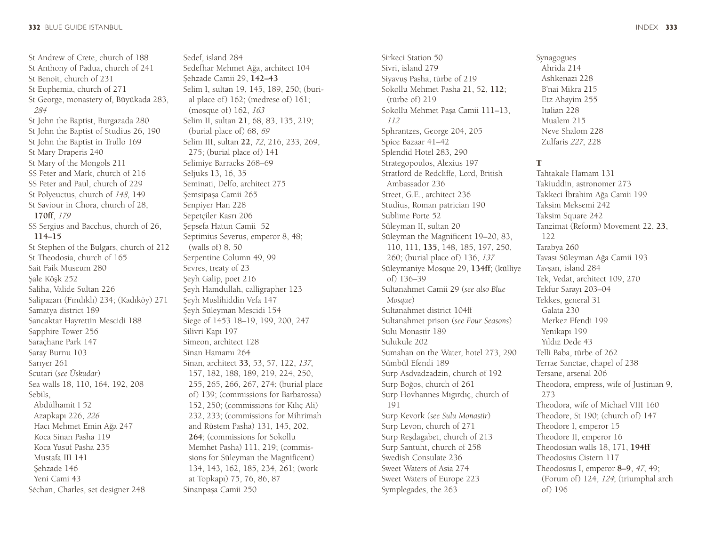St Andrew of Crete, church of 188 St Anthony of Padua, church of 241 St Benoit, church of 231 St Euphemia, church of 271 St George, monastery of, Büyükada 283, *284* St John the Baptist, Burgazada 280 St John the Baptist of Studius 26, 190 St John the Baptist in Trullo 169 St Mary Draperis 240 St Mary of the Mongols 211 SS Peter and Mark, church of 216 SS Peter and Paul, church of 229 St Polyeuctus, church of *148*, 149 St Saviour in Chora, church of 28, **170ff**, *<sup>179</sup>* SS Sergius and Bacchus, church of 26, **114–15** St Stephen of the Bulgars, church of 212 St Theodosia, church of 165 Sait Faik Museum 280 Sale Köşk 252 Saliha, Valide Sultan 226 Salipazarı (Fındıklı) 234; (Kadıköy) 271 Samatya district 189 Sancaktar Hayrettin Mescidi 188 Sapphire Tower 256 Saraçhane Park 147 Saray Burnu 103 Sarıyer 261 Scutari (*see Üsküdar*) Sea walls 18, 110, 164, 192, 208 Sebils, Abdülhamit I 52 Azapkapı 226, *<sup>226</sup>* Hacı Mehmet Emin Ağa 247 Koca Sinan Pasha 119 Koca Yusuf Pasha 235 Mustafa III 141 Sehzade 146 Yeni Cami 43 Séchan, Charles, set designer 248

Sedef, island 284 Sedefhar Mehmet Ağa, architect 104 Șehzade Camii 29, **142–43** Selim I, sultan 19, 145, 189, 250; (burial place of) 162; (medrese of) 161; (mosque of) 162, *<sup>163</sup>* Selim II, sultan **21**, 68, 83, 135, 219; (burial place of) 68, *<sup>69</sup>* Selim III, sultan **22**, *72*, 216, 233, 269, 275; (burial place of) 141 Selimiye Barracks 268–69 Seljuks 13, 16, 35 Seminati, Delfo, architect 275 Șemsipaşa Camii 265 Senpiyer Han 228 Sepetçiler Kasrı 206 Şepsefa Hatun Camii 52 Septimius Severus, emperor 8, 48; (walls of) 8, 50 Serpentine Column 49, 99 Sevres, treaty of 23 Şeyh Galip, poet 216 Şeyh Hamdullah, calligrapher 123 Șeyh Muslihiddin Vefa 147 Șeyh Süleyman Mescidi 154 Siege of 1453 18–19, 199, 200, 247 Silivri Kapı 197 Simeon, architect 128 Sinan Hamamı 264 Sinan, architect **33**, 53, 57, 122, *137*, 157, 182, 188, 189, 219, 224, 250, 255, 265, 266, 267, 274; (burial place of) 139; (commissions for Barbarossa) 152, 250; (commissions for Kılıç Ali) 232, 233; (commissions for Mihrimah and Rüstem Pasha) 131, 145, 202, **264**; (commissions for Sokollu Memhet Pasha) 111, 219; (commissions for Süleyman the Magnificent) 134, 143, 162, 185, 234, 261; (work at Topkapı) 75, 76, 86, 87 Sinanpaşa Camii 250

Sirkeci Station 50 Sivri, island 279 Siyavuş Pasha, türbe of 219 Sokollu Mehmet Pasha 21, 52, **112**; (türbe of) 219 Sokollu Mehmet Paşa Camii 111–13, *112* Sphrantzes, George 204, 205 Spice Bazaar 41–42 Splendid Hotel 283, 290 Strategopoulos, Alexius 197 Stratford de Redcliffe, Lord, British Ambassador 236 Street, G.E., architect 236 Studius, Roman patrician 190 Sublime Porte 52 Süleyman II, sultan 20 Süleyman the Magnificent 19–20, 83, 110, 111, **135**, 148, 185, 197, 250, 260; (burial place of) 136, *<sup>137</sup>* Süleymaniye Mosque 29, **134ff**; (külliye of) 136–39 Sultanahmet Camii 29 (*see also Blue Mosque*) Sultanahmet district 104ff Sultanahmet prison (*see Four Seasons*) Sulu Monastir 189 Sulukule 202 Sumahan on the Water, hotel 273, 290 Sümbül Efendi 189 Surp Asdvadzadzin, church of 192 Surp Boğos, church of 261 Surp Hovhannes Mıgırdıç, church of 191 Surp Kevork (*see Sulu Monastir*) Surp Levon, church of 271 Surp Reşdagabet, church of 213 Surp Santuht, church of 258 Swedish Consulate 236 Sweet Waters of Asia 274 Sweet Waters of Europe 223 Symplegades, the 263

Synagogues Ahrida 214 Ashkenazi 228 B'nai Mikra 215 Etz Ahayim 255 Italian 228 Mualem 215 Neve Shalom 228 Zulfaris *227*, 228

#### T

Tahtakale Hamam 131 Takiuddin, astronomer 273 Takkeci İbrahim Ağa Camii 199 Taksim Meksemi 242 Taksim Square 242 Tanzimat (Reform) Movement 22, **23**, 122 Tarabya 260 Tavası Süleyman Ağa Camii 193 Tavşan, island 284 Tek, Vedat, architect 109, 270 Tekfur Sarayı 203–04 Tekkes, general 31 Galata 230 Merkez Efendi 199 Yenikapı 199 Yıldız Dede 43 Telli Baba, türbe of 262 Terrae Sanctae, chapel of 238 Tersane, arsenal 206 Theodora, empress, wife of Justinian 9, 273 Theodora, wife of Michael VIII 160 Theodore, St 190; (church of) 147 Theodore I, emperor 15 Theodore II, emperor 16 Theodosian walls 18, 171, **194ff** Theodosius Cistern 117 Theodosius I, emperor **8–9**, *47*, 49; (Forum of) 124, *124*; (triumphal arch of) 196